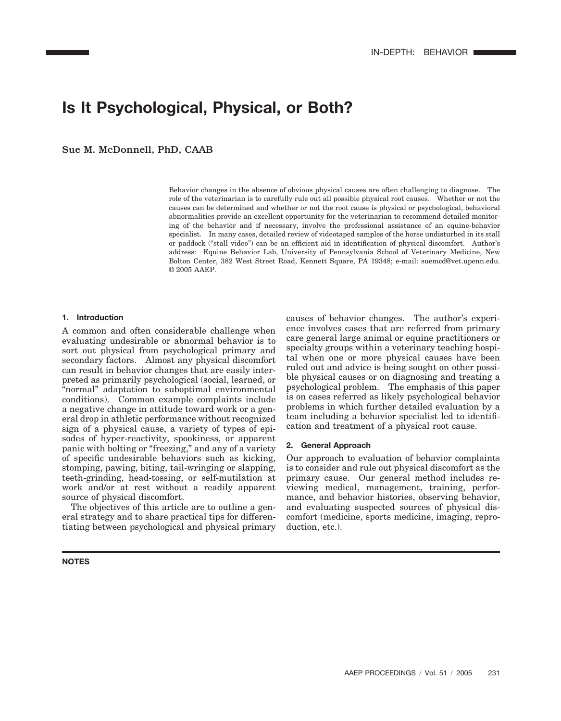# **Is It Psychological, Physical, or Both?**

Sue M. McDonnell, PhD, CAAB

Behavior changes in the absence of obvious physical causes are often challenging to diagnose. The role of the veterinarian is to carefully rule out all possible physical root causes. Whether or not the causes can be determined and whether or not the root cause is physical or psychological, behavioral abnormalities provide an excellent opportunity for the veterinarian to recommend detailed monitoring of the behavior and if necessary, involve the professional assistance of an equine-behavior specialist. In many cases, detailed review of videotaped samples of the horse undisturbed in its stall or paddock ("stall video") can be an efficient aid in identification of physical discomfort. Author's address: Equine Behavior Lab, University of Pennsylvania School of Veterinary Medicine, New Bolton Center, 382 West Street Road, Kennett Square, PA 19348; e-mail: suemcd@vet.upenn.edu. © 2005 AAEP.

#### **1. Introduction**

A common and often considerable challenge when evaluating undesirable or abnormal behavior is to sort out physical from psychological primary and secondary factors. Almost any physical discomfort can result in behavior changes that are easily interpreted as primarily psychological (social, learned, or "normal" adaptation to suboptimal environmental conditions). Common example complaints include a negative change in attitude toward work or a general drop in athletic performance without recognized sign of a physical cause, a variety of types of episodes of hyper-reactivity, spookiness, or apparent panic with bolting or "freezing," and any of a variety of specific undesirable behaviors such as kicking, stomping, pawing, biting, tail-wringing or slapping, teeth-grinding, head-tossing, or self-mutilation at work and/or at rest without a readily apparent source of physical discomfort.

The objectives of this article are to outline a general strategy and to share practical tips for differentiating between psychological and physical primary

**NOTES**

causes of behavior changes. The author's experience involves cases that are referred from primary care general large animal or equine practitioners or specialty groups within a veterinary teaching hospital when one or more physical causes have been ruled out and advice is being sought on other possible physical causes or on diagnosing and treating a psychological problem. The emphasis of this paper is on cases referred as likely psychological behavior problems in which further detailed evaluation by a team including a behavior specialist led to identification and treatment of a physical root cause.

#### **2. General Approach**

Our approach to evaluation of behavior complaints is to consider and rule out physical discomfort as the primary cause. Our general method includes reviewing medical, management, training, performance, and behavior histories, observing behavior, and evaluating suspected sources of physical discomfort (medicine, sports medicine, imaging, reproduction, etc.).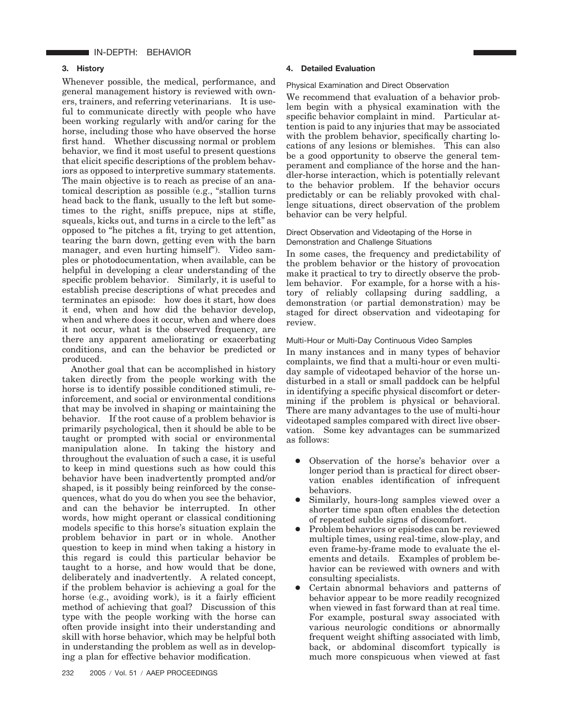# IN-DEPTH: BEHAVIOR

## **3. History**

Whenever possible, the medical, performance, and general management history is reviewed with owners, trainers, and referring veterinarians. It is useful to communicate directly with people who have been working regularly with and/or caring for the horse, including those who have observed the horse first hand. Whether discussing normal or problem behavior, we find it most useful to present questions that elicit specific descriptions of the problem behaviors as opposed to interpretive summary statements. The main objective is to reach as precise of an anatomical description as possible (e.g., "stallion turns head back to the flank, usually to the left but sometimes to the right, sniffs prepuce, nips at stifle, squeals, kicks out, and turns in a circle to the left" as opposed to "he pitches a fit, trying to get attention, tearing the barn down, getting even with the barn manager, and even hurting himself"). Video samples or photodocumentation, when available, can be helpful in developing a clear understanding of the specific problem behavior. Similarly, it is useful to establish precise descriptions of what precedes and terminates an episode: how does it start, how does it end, when and how did the behavior develop, when and where does it occur, when and where does it not occur, what is the observed frequency, are there any apparent ameliorating or exacerbating conditions, and can the behavior be predicted or produced.

Another goal that can be accomplished in history taken directly from the people working with the horse is to identify possible conditioned stimuli, reinforcement, and social or environmental conditions that may be involved in shaping or maintaining the behavior. If the root cause of a problem behavior is primarily psychological, then it should be able to be taught or prompted with social or environmental manipulation alone. In taking the history and throughout the evaluation of such a case, it is useful to keep in mind questions such as how could this behavior have been inadvertently prompted and/or shaped, is it possibly being reinforced by the consequences, what do you do when you see the behavior, and can the behavior be interrupted. In other words, how might operant or classical conditioning models specific to this horse's situation explain the problem behavior in part or in whole. Another question to keep in mind when taking a history in this regard is could this particular behavior be taught to a horse, and how would that be done, deliberately and inadvertently. A related concept, if the problem behavior is achieving a goal for the horse (e.g., avoiding work), is it a fairly efficient method of achieving that goal? Discussion of this type with the people working with the horse can often provide insight into their understanding and skill with horse behavior, which may be helpful both in understanding the problem as well as in developing a plan for effective behavior modification.

# **4. Detailed Evaluation**

#### Physical Examination and Direct Observation

We recommend that evaluation of a behavior problem begin with a physical examination with the specific behavior complaint in mind. Particular attention is paid to any injuries that may be associated with the problem behavior, specifically charting locations of any lesions or blemishes. This can also be a good opportunity to observe the general temperament and compliance of the horse and the handler-horse interaction, which is potentially relevant to the behavior problem. If the behavior occurs predictably or can be reliably provoked with challenge situations, direct observation of the problem behavior can be very helpful.

# Direct Observation and Videotaping of the Horse in Demonstration and Challenge Situations

In some cases, the frequency and predictability of the problem behavior or the history of provocation make it practical to try to directly observe the problem behavior. For example, for a horse with a history of reliably collapsing during saddling, a demonstration (or partial demonstration) may be staged for direct observation and videotaping for review.

#### Multi-Hour or Multi-Day Continuous Video Samples

In many instances and in many types of behavior complaints, we find that a multi-hour or even multiday sample of videotaped behavior of the horse undisturbed in a stall or small paddock can be helpful in identifying a specific physical discomfort or determining if the problem is physical or behavioral. There are many advantages to the use of multi-hour videotaped samples compared with direct live observation. Some key advantages can be summarized as follows:

- Observation of the horse's behavior over a longer period than is practical for direct observation enables identification of infrequent behaviors.
- Similarly, hours-long samples viewed over a shorter time span often enables the detection of repeated subtle signs of discomfort.
- Problem behaviors or episodes can be reviewed multiple times, using real-time, slow-play, and even frame-by-frame mode to evaluate the elements and details. Examples of problem behavior can be reviewed with owners and with consulting specialists.
- Certain abnormal behaviors and patterns of behavior appear to be more readily recognized when viewed in fast forward than at real time. For example, postural sway associated with various neurologic conditions or abnormally frequent weight shifting associated with limb, back, or abdominal discomfort typically is much more conspicuous when viewed at fast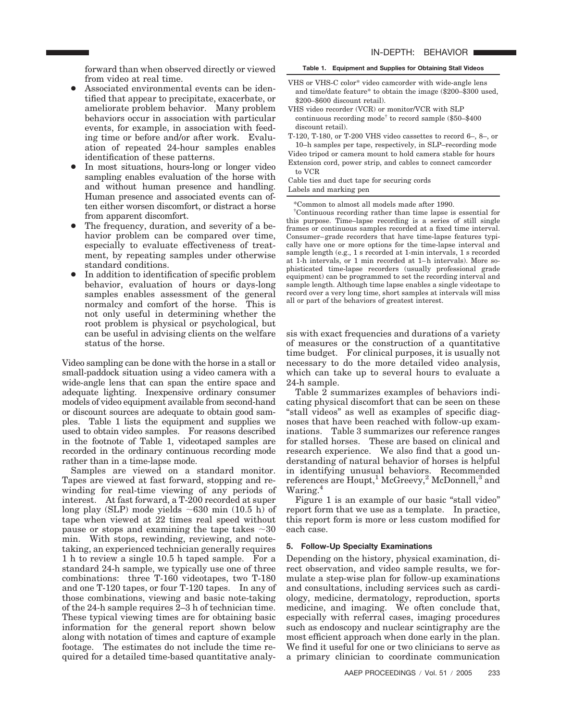forward than when observed directly or viewed from video at real time.

- Associated environmental events can be identified that appear to precipitate, exacerbate, or ameliorate problem behavior. Many problem behaviors occur in association with particular events, for example, in association with feeding time or before and/or after work. Evaluation of repeated 24-hour samples enables identification of these patterns.
- In most situations, hours-long or longer video sampling enables evaluation of the horse with and without human presence and handling. Human presence and associated events can often either worsen discomfort, or distract a horse from apparent discomfort.
- The frequency, duration, and severity of a behavior problem can be compared over time, especially to evaluate effectiveness of treatment, by repeating samples under otherwise standard conditions.
- In addition to identification of specific problem behavior, evaluation of hours or days-long samples enables assessment of the general normalcy and comfort of the horse. This is not only useful in determining whether the root problem is physical or psychological, but can be useful in advising clients on the welfare status of the horse.

Video sampling can be done with the horse in a stall or small-paddock situation using a video camera with a wide-angle lens that can span the entire space and adequate lighting. Inexpensive ordinary consumer models of video equipment available from second-hand or discount sources are adequate to obtain good samples. Table 1 lists the equipment and supplies we used to obtain video samples. For reasons described in the footnote of Table 1, videotaped samples are recorded in the ordinary continuous recording mode rather than in a time-lapse mode.

Samples are viewed on a standard monitor. Tapes are viewed at fast forward, stopping and rewinding for real-time viewing of any periods of interest. At fast forward, a T-200 recorded at super  $long$  play (SLP) mode yields  $\sim$ 630 min (10.5 h) of tape when viewed at 22 times real speed without pause or stops and examining the tape takes  $\sim\!\!30$ min. With stops, rewinding, reviewing, and notetaking, an experienced technician generally requires 1 h to review a single 10.5 h taped sample. For a standard 24-h sample, we typically use one of three combinations: three T-160 videotapes, two T-180 and one T-120 tapes, or four T-120 tapes. In any of those combinations, viewing and basic note-taking of the 24-h sample requires 2–3 h of technician time. These typical viewing times are for obtaining basic information for the general report shown below along with notation of times and capture of example footage. The estimates do not include the time required for a detailed time-based quantitative analy-

#### **Table 1. Equipment and Supplies for Obtaining Stall Videos**

- VHS or VHS-C color\* video camcorder with wide-angle lens and time/date feature\* to obtain the image (\$200–\$300 used, \$200–\$600 discount retail).
- VHS video recorder (VCR) or monitor/VCR with SLP continuous recording mode† to record sample (\$50–\$400 discount retail).
- T-120, T-180, or T-200 VHS video cassettes to record 6–, 8–, or 10–h samples per tape, respectively, in SLP–recording mode
- Video tripod or camera mount to hold camera stable for hours Extension cord, power strip, and cables to connect camcorder to VCR

Cable ties and duct tape for securing cords Labels and marking pen

\*Common to almost all models made after 1990.

† Continuous recording rather than time lapse is essential for this purpose. Time–lapse recording is a series of still single frames or continuous samples recorded at a fixed time interval. Consumer–grade recorders that have time-lapse features typically have one or more options for the time-lapse interval and sample length (e.g., 1 s recorded at 1-min intervals, 1 s recorded at 1-h intervals, or 1 min recorded at 1–h intervals). More sophisticated time-lapse recorders (usually professional grade equipment) can be programmed to set the recording interval and sample length. Although time lapse enables a single videotape to record over a very long time, short samples at intervals will miss all or part of the behaviors of greatest interest.

sis with exact frequencies and durations of a variety of measures or the construction of a quantitative time budget. For clinical purposes, it is usually not necessary to do the more detailed video analysis, which can take up to several hours to evaluate a 24-h sample.

Table 2 summarizes examples of behaviors indicating physical discomfort that can be seen on these "stall videos" as well as examples of specific diagnoses that have been reached with follow-up examinations. Table 3 summarizes our reference ranges for stalled horses. These are based on clinical and research experience. We also find that a good understanding of natural behavior of horses is helpful in identifying unusual behaviors. Recommended references are Houpt,<sup>1</sup> McGreevy,<sup>2</sup> McDonnell,<sup>3</sup> and Waring.<sup>4</sup>

Figure 1 is an example of our basic "stall video" report form that we use as a template. In practice, this report form is more or less custom modified for each case.

#### **5. Follow-Up Specialty Examinations**

Depending on the history, physical examination, direct observation, and video sample results, we formulate a step-wise plan for follow-up examinations and consultations, including services such as cardiology, medicine, dermatology, reproduction, sports medicine, and imaging. We often conclude that, especially with referral cases, imaging procedures such as endoscopy and nuclear scintigraphy are the most efficient approach when done early in the plan. We find it useful for one or two clinicians to serve as a primary clinician to coordinate communication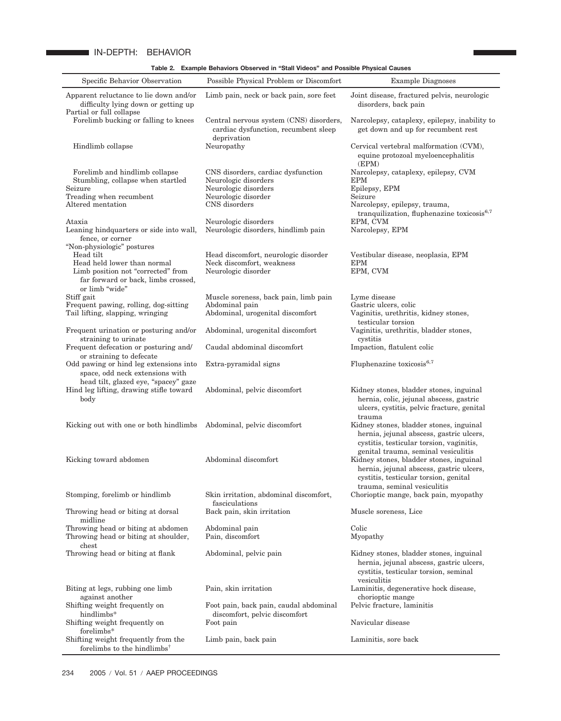# IN-DEPTH: BEHAVIOR

**Table 2. Example Behaviors Observed in "Stall Videos" and Possible Physical Causes**

| Specific Behavior Observation                                                                                                                                         | Possible Physical Problem or Discomfort                                                        | <b>Example Diagnoses</b>                                                                                                                                                                           |
|-----------------------------------------------------------------------------------------------------------------------------------------------------------------------|------------------------------------------------------------------------------------------------|----------------------------------------------------------------------------------------------------------------------------------------------------------------------------------------------------|
| Apparent reluctance to lie down and/or<br>difficulty lying down or getting up<br>Partial or full collapse                                                             | Limb pain, neck or back pain, sore feet                                                        | Joint disease, fractured pelvis, neurologic<br>disorders, back pain                                                                                                                                |
| Forelimb bucking or falling to knees                                                                                                                                  | Central nervous system (CNS) disorders,<br>cardiac dysfunction, recumbent sleep<br>deprivation | Narcolepsy, cataplexy, epilepsy, inability to<br>get down and up for recumbent rest                                                                                                                |
| Hindlimb collapse                                                                                                                                                     | Neuropathy                                                                                     | Cervical vertebral malformation (CVM),<br>equine protozoal myeloencephalitis<br>(EPM)                                                                                                              |
| Forelimb and hindlimb collapse<br>Stumbling, collapse when startled<br>Seizure                                                                                        | CNS disorders, cardiac dysfunction<br>Neurologic disorders<br>Neurologic disorders             | Narcolepsy, cataplexy, epilepsy, CVM<br><b>EPM</b><br>Epilepsy, EPM                                                                                                                                |
| Treading when recumbent<br>Altered mentation                                                                                                                          | Neurologic disorder<br>CNS disorders                                                           | Seizure<br>Narcolepsy, epilepsy, trauma,<br>tranquilization, fluphenazine toxicosis <sup>6,7</sup>                                                                                                 |
| Ataxia<br>Leaning hindquarters or side into wall,<br>fence, or corner                                                                                                 | Neurologic disorders<br>Neurologic disorders, hindlimb pain                                    | EPM, CVM<br>Narcolepsy, EPM                                                                                                                                                                        |
| "Non-physiologic" postures<br>Head tilt<br>Head held lower than normal<br>Limb position not "corrected" from<br>far forward or back, limbs crossed,<br>or limb "wide" | Head discomfort, neurologic disorder<br>Neck discomfort, weakness<br>Neurologic disorder       | Vestibular disease, neoplasia, EPM<br><b>EPM</b><br>EPM, CVM                                                                                                                                       |
| Stiff gait<br>Frequent pawing, rolling, dog-sitting<br>Tail lifting, slapping, wringing                                                                               | Muscle soreness, back pain, limb pain<br>Abdominal pain<br>Abdominal, urogenital discomfort    | Lyme disease<br>Gastric ulcers, colic<br>Vaginitis, urethritis, kidney stones,<br>testicular torsion                                                                                               |
| Frequent urination or posturing and/or<br>straining to urinate<br>Frequent defecation or posturing and/                                                               | Abdominal, urogenital discomfort<br>Caudal abdominal discomfort                                | Vaginitis, urethritis, bladder stones,<br>cystitis<br>Impaction, flatulent colic                                                                                                                   |
| or straining to defecate<br>Odd pawing or hind leg extensions into<br>space, odd neck extensions with                                                                 | Extra-pyramidal signs                                                                          | Fluphenazine toxicosis <sup>6,7</sup>                                                                                                                                                              |
| head tilt, glazed eye, "spacey" gaze<br>Hind leg lifting, drawing stifle toward<br>body                                                                               | Abdominal, pelvic discomfort                                                                   | Kidney stones, bladder stones, inguinal<br>hernia, colic, jejunal abscess, gastric<br>ulcers, cystitis, pelvic fracture, genital<br>trauma                                                         |
| Kicking out with one or both hindlimbs Abdominal, pelvic discomfort                                                                                                   |                                                                                                | Kidney stones, bladder stones, inguinal<br>hernia, jejunal abscess, gastric ulcers,<br>cystitis, testicular torsion, vaginitis,                                                                    |
| Kicking toward abdomen                                                                                                                                                | Abdominal discomfort                                                                           | genital trauma, seminal vesiculitis<br>Kidney stones, bladder stones, inguinal<br>hernia, jejunal abscess, gastric ulcers,<br>cystitis, testicular torsion, genital<br>trauma, seminal vesiculitis |
| Stomping, forelimb or hindlimb                                                                                                                                        | Skin irritation, abdominal discomfort,<br>fasciculations                                       | Chorioptic mange, back pain, myopathy                                                                                                                                                              |
| Throwing head or biting at dorsal<br>midline                                                                                                                          | Back pain, skin irritation                                                                     | Muscle soreness, Lice                                                                                                                                                                              |
| Throwing head or biting at abdomen<br>Throwing head or biting at shoulder,<br>chest                                                                                   | Abdominal pain<br>Pain, discomfort                                                             | Colic<br>Myopathy                                                                                                                                                                                  |
| Throwing head or biting at flank                                                                                                                                      | Abdominal, pelvic pain                                                                         | Kidney stones, bladder stones, inguinal<br>hernia, jejunal abscess, gastric ulcers,<br>cystitis, testicular torsion, seminal<br>vesiculitis                                                        |
| Biting at legs, rubbing one limb<br>against another                                                                                                                   | Pain, skin irritation                                                                          | Laminitis, degenerative hock disease,<br>chorioptic mange                                                                                                                                          |
| Shifting weight frequently on<br>hindlimbs*                                                                                                                           | Foot pain, back pain, caudal abdominal<br>discomfort, pelvic discomfort                        | Pelvic fracture, laminitis                                                                                                                                                                         |
| Shifting weight frequently on<br>forelimbs*                                                                                                                           | Foot pain                                                                                      | Navicular disease                                                                                                                                                                                  |
| Shifting weight frequently from the<br>forelimbs to the hindlimbs <sup>†</sup>                                                                                        | Limb pain, back pain                                                                           | Laminitis, sore back                                                                                                                                                                               |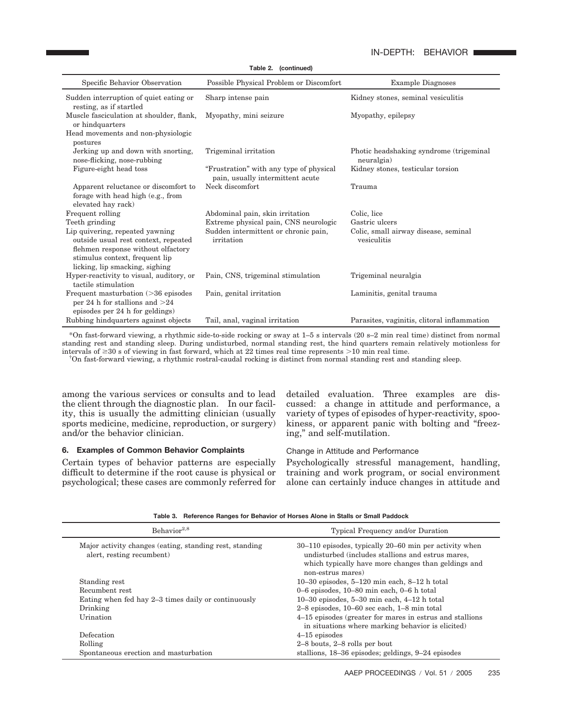# IN-DEPTH: BEHAVIOR

|                                                                                                                                                                                   | Table 2. (continued)                                                        |                                                        |
|-----------------------------------------------------------------------------------------------------------------------------------------------------------------------------------|-----------------------------------------------------------------------------|--------------------------------------------------------|
| Specific Behavior Observation                                                                                                                                                     | Possible Physical Problem or Discomfort                                     | <b>Example Diagnoses</b>                               |
| Sudden interruption of quiet eating or<br>resting, as if startled                                                                                                                 | Sharp intense pain                                                          | Kidney stones, seminal vesiculitis                     |
| Muscle fasciculation at shoulder, flank,<br>or hindquarters                                                                                                                       | Myopathy, mini seizure                                                      | Myopathy, epilepsy                                     |
| Head movements and non-physiologic<br>postures                                                                                                                                    |                                                                             |                                                        |
| Jerking up and down with snorting,<br>nose-flicking, nose-rubbing                                                                                                                 | Trigeminal irritation                                                       | Photic headshaking syndrome (trigeminal)<br>neuralgia) |
| Figure-eight head toss                                                                                                                                                            | "Frustration" with any type of physical<br>pain, usually intermittent acute | Kidney stones, testicular torsion                      |
| Apparent reluctance or discomfort to<br>forage with head high (e.g., from<br>elevated hay rack)                                                                                   | Neck discomfort                                                             | Trauma                                                 |
| Frequent rolling                                                                                                                                                                  | Abdominal pain, skin irritation                                             | Colic, lice                                            |
| Teeth grinding                                                                                                                                                                    | Extreme physical pain, CNS neurologic                                       | Gastric ulcers                                         |
| Lip quivering, repeated yawning<br>outside usual rest context, repeated<br>flehmen response without olfactory<br>stimulus context, frequent lip<br>licking, lip smacking, sighing | Sudden intermittent or chronic pain,<br>irritation                          | Colic, small airway disease, seminal<br>vesiculitis    |
| Hyper-reactivity to visual, auditory, or<br>tactile stimulation                                                                                                                   | Pain, CNS, trigeminal stimulation                                           | Trigeminal neuralgia                                   |
| Frequent masturbation (>36 episodes<br>per 24 h for stallions and $>24$<br>episodes per 24 h for geldings)                                                                        | Pain, genital irritation                                                    | Laminitis, genital trauma                              |
| Rubbing hindquarters against objects                                                                                                                                              | Tail, anal, vaginal irritation                                              | Parasites, vaginitis, clitoral inflammation            |

\*On fast-forward viewing, a rhythmic side-to-side rocking or sway at 1–5 s intervals (20 s–2 min real time) distinct from normal standing rest and standing sleep. During undisturbed, normal standing rest, the hind quarters remain relatively motionless for intervals of  $\geq 30$  s of viewing in fast forward, which at 22 times real time represents  $>10$  min real time.

<sup>†</sup>On fast-forward viewing, a rhythmic rostral-caudal rocking is distinct from normal standing rest and standing sleep.

among the various services or consults and to lead the client through the diagnostic plan. In our facility, this is usually the admitting clinician (usually sports medicine, medicine, reproduction, or surgery) and/or the behavior clinician.

# **6. Examples of Common Behavior Complaints**

Certain types of behavior patterns are especially difficult to determine if the root cause is physical or psychological; these cases are commonly referred for detailed evaluation. Three examples are discussed: a change in attitude and performance, a variety of types of episodes of hyper-reactivity, spookiness, or apparent panic with bolting and "freezing," and self-mutilation.

## Change in Attitude and Performance

Psychologically stressful management, handling, training and work program, or social environment alone can certainly induce changes in attitude and

|  | Table 3. Reference Ranges for Behavior of Horses Alone in Stalls or Small Paddock |  |  |  |  |  |
|--|-----------------------------------------------------------------------------------|--|--|--|--|--|
|--|-----------------------------------------------------------------------------------|--|--|--|--|--|

| Behavior <sup>2,8</sup>                                                              | Typical Frequency and/or Duration                                                                                                                                                         |
|--------------------------------------------------------------------------------------|-------------------------------------------------------------------------------------------------------------------------------------------------------------------------------------------|
| Major activity changes (eating, standing rest, standing<br>alert, resting recumbent) | $30-110$ episodes, typically 20–60 min per activity when<br>undisturbed (includes stallions and estrus mares,<br>which typically have more changes than geldings and<br>non-estrus mares) |
| Standing rest                                                                        | $10-30$ episodes, $5-120$ min each, $8-12$ h total                                                                                                                                        |
| Recumbent rest                                                                       | $0-6$ episodes, $10-80$ min each, $0-6$ h total                                                                                                                                           |
| Eating when fed hay 2–3 times daily or continuously                                  | $10-30$ episodes, $5-30$ min each, $4-12$ h total                                                                                                                                         |
| Drinking                                                                             | $2-8$ episodes, $10-60$ sec each, $1-8$ min total                                                                                                                                         |
| Urination                                                                            | 4–15 episodes (greater for mares in estrus and stallions)<br>in situations where marking behavior is elicited)                                                                            |
| Defecation                                                                           | $4-15$ episodes                                                                                                                                                                           |
| Rolling                                                                              | $2-8$ bouts, $2-8$ rolls per bout                                                                                                                                                         |
| Spontaneous erection and masturbation                                                | stallions, 18–36 episodes; geldings, 9–24 episodes                                                                                                                                        |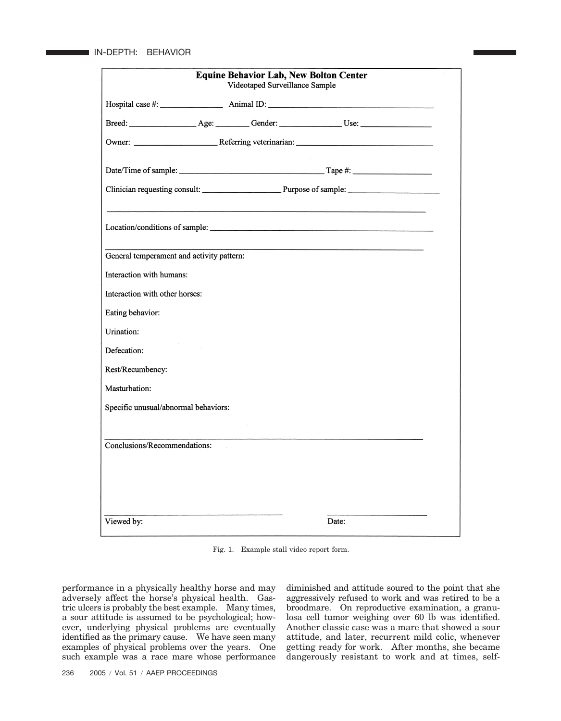|                                           | <b>Equine Behavior Lab, New Bolton Center</b><br>Videotaped Surveillance Sample |       |  |
|-------------------------------------------|---------------------------------------------------------------------------------|-------|--|
|                                           |                                                                                 |       |  |
|                                           |                                                                                 |       |  |
|                                           |                                                                                 |       |  |
|                                           |                                                                                 |       |  |
|                                           |                                                                                 |       |  |
|                                           |                                                                                 |       |  |
| General temperament and activity pattern: |                                                                                 |       |  |
| Interaction with humans:                  |                                                                                 |       |  |
| Interaction with other horses:            |                                                                                 |       |  |
| Eating behavior:                          |                                                                                 |       |  |
| Urination:                                |                                                                                 |       |  |
| Defecation:                               |                                                                                 |       |  |
| Rest/Recumbency:                          |                                                                                 |       |  |
| Masturbation:                             |                                                                                 |       |  |
| Specific unusual/abnormal behaviors:      |                                                                                 |       |  |
| Conclusions/Recommendations:              |                                                                                 |       |  |
|                                           |                                                                                 |       |  |
|                                           |                                                                                 |       |  |
| Viewed by:                                |                                                                                 | Date: |  |

Fig. 1. Example stall video report form.

performance in a physically healthy horse and may adversely affect the horse's physical health. Gastric ulcers is probably the best example. Many times, a sour attitude is assumed to be psychological; however, underlying physical problems are eventually identified as the primary cause. We have seen many examples of physical problems over the years. One such example was a race mare whose performance

diminished and attitude soured to the point that she aggressively refused to work and was retired to be a broodmare. On reproductive examination, a granulosa cell tumor weighing over 60 lb was identified. Another classic case was a mare that showed a sour attitude, and later, recurrent mild colic, whenever getting ready for work. After months, she became dangerously resistant to work and at times, self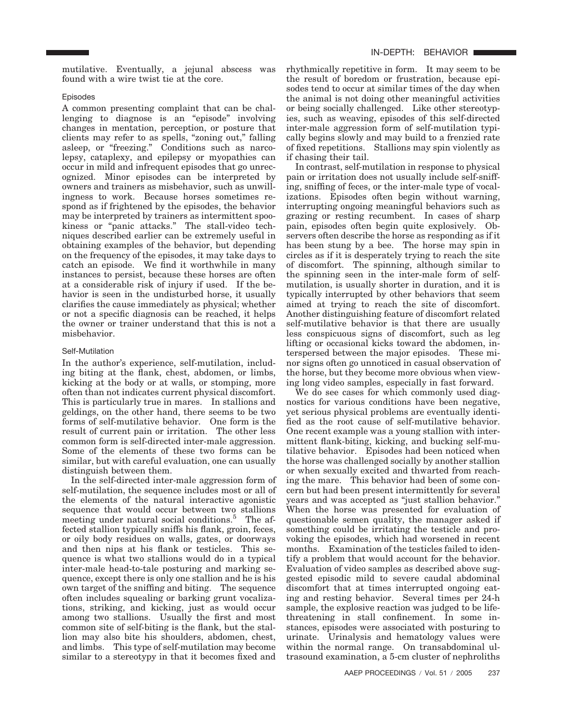mutilative. Eventually, a jejunal abscess was found with a wire twist tie at the core.

#### Episodes

A common presenting complaint that can be challenging to diagnose is an "episode" involving changes in mentation, perception, or posture that clients may refer to as spells, "zoning out," falling asleep, or "freezing." Conditions such as narcolepsy, cataplexy, and epilepsy or myopathies can occur in mild and infrequent episodes that go unrecognized. Minor episodes can be interpreted by owners and trainers as misbehavior, such as unwillingness to work. Because horses sometimes respond as if frightened by the episodes, the behavior may be interpreted by trainers as intermittent spookiness or "panic attacks." The stall-video techniques described earlier can be extremely useful in obtaining examples of the behavior, but depending on the frequency of the episodes, it may take days to catch an episode. We find it worthwhile in many instances to persist, because these horses are often at a considerable risk of injury if used. If the behavior is seen in the undisturbed horse, it usually clarifies the cause immediately as physical; whether or not a specific diagnosis can be reached, it helps the owner or trainer understand that this is not a misbehavior.

#### Self-Mutilation

In the author's experience, self-mutilation, including biting at the flank, chest, abdomen, or limbs, kicking at the body or at walls, or stomping, more often than not indicates current physical discomfort. This is particularly true in mares. In stallions and geldings, on the other hand, there seems to be two forms of self-mutilative behavior. One form is the result of current pain or irritation. The other less common form is self-directed inter-male aggression. Some of the elements of these two forms can be similar, but with careful evaluation, one can usually distinguish between them.

In the self-directed inter-male aggression form of self-mutilation, the sequence includes most or all of the elements of the natural interactive agonistic sequence that would occur between two stallions meeting under natural social conditions.<sup>5</sup> The affected stallion typically sniffs his flank, groin, feces, or oily body residues on walls, gates, or doorways and then nips at his flank or testicles. This sequence is what two stallions would do in a typical inter-male head-to-tale posturing and marking sequence, except there is only one stallion and he is his own target of the sniffing and biting. The sequence often includes squealing or barking grunt vocalizations, striking, and kicking, just as would occur among two stallions. Usually the first and most common site of self-biting is the flank, but the stallion may also bite his shoulders, abdomen, chest, and limbs. This type of self-mutilation may become similar to a stereotypy in that it becomes fixed and rhythmically repetitive in form. It may seem to be the result of boredom or frustration, because episodes tend to occur at similar times of the day when the animal is not doing other meaningful activities or being socially challenged. Like other stereotypies, such as weaving, episodes of this self-directed inter-male aggression form of self-mutilation typically begins slowly and may build to a frenzied rate of fixed repetitions. Stallions may spin violently as if chasing their tail.

In contrast, self-mutilation in response to physical pain or irritation does not usually include self-sniffing, sniffing of feces, or the inter-male type of vocalizations. Episodes often begin without warning, interrupting ongoing meaningful behaviors such as grazing or resting recumbent. In cases of sharp pain, episodes often begin quite explosively. Observers often describe the horse as responding as if it has been stung by a bee. The horse may spin in circles as if it is desperately trying to reach the site of discomfort. The spinning, although similar to the spinning seen in the inter-male form of selfmutilation, is usually shorter in duration, and it is typically interrupted by other behaviors that seem aimed at trying to reach the site of discomfort. Another distinguishing feature of discomfort related self-mutilative behavior is that there are usually less conspicuous signs of discomfort, such as leg lifting or occasional kicks toward the abdomen, interspersed between the major episodes. These minor signs often go unnoticed in casual observation of the horse, but they become more obvious when viewing long video samples, especially in fast forward.

We do see cases for which commonly used diagnostics for various conditions have been negative, yet serious physical problems are eventually identified as the root cause of self-mutilative behavior. One recent example was a young stallion with intermittent flank-biting, kicking, and bucking self-mutilative behavior. Episodes had been noticed when the horse was challenged socially by another stallion or when sexually excited and thwarted from reaching the mare. This behavior had been of some concern but had been present intermittently for several years and was accepted as "just stallion behavior." When the horse was presented for evaluation of questionable semen quality, the manager asked if something could be irritating the testicle and provoking the episodes, which had worsened in recent months. Examination of the testicles failed to identify a problem that would account for the behavior. Evaluation of video samples as described above suggested episodic mild to severe caudal abdominal discomfort that at times interrupted ongoing eating and resting behavior. Several times per 24-h sample, the explosive reaction was judged to be lifethreatening in stall confinement. In some instances, episodes were associated with posturing to urinate. Urinalysis and hematology values were within the normal range. On transabdominal ultrasound examination, a 5-cm cluster of nephroliths